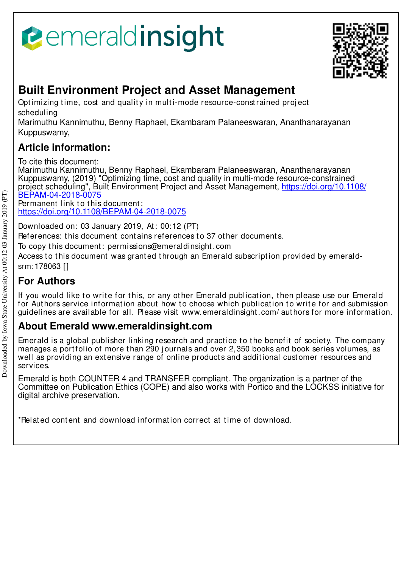# **B**emeraldinsight



## **Built Environment Project and Asset Management**

Optimizing time, cost and quality in multi-mode resource-constrained project scheduling

Marimuthu Kannimuthu, Benny Raphael, Ekambaram Palaneeswaran, Ananthanarayanan Kuppuswamy,

## **Article information:**

To cite this document:

Marimuthu Kannimuthu, Benny Raphael, Ekambaram Palaneeswaran, Ananthanarayanan Kuppuswamy, (2019) "Optimizing time, cost and quality in multi-mode resource-constrained project scheduling", Built Environment Project and Asset Management, https://doi.org/10.1108/ BEPAM-04-2018-0075

Permanent link to this document: https://doi.org/10.1108/BEPAM-04-2018-0075

Downloaded on: 03 January 2019, At : 00:12 (PT)

References: this document contains references to 37 other documents.

To copy t his document : permissions@emeraldinsight .com

Access to this document was granted through an Emerald subscription provided by emeraldsrm:178063 []

## **For Authors**

If you would like to write for this, or any other Emerald publication, then please use our Emerald for Authors service information about how to choose which publication to write for and submission guidelines are available for all. Please visit www.emeraldinsight .com/ aut hors for more informat ion.

## **About Emerald www.emeraldinsight.com**

Emerald is a global publisher linking research and practice to the benefit of society. The company manages a portfolio of more than 290 journals and over 2,350 books and book series volumes, as well as providing an extensive range of online products and additional customer resources and services.

Emerald is both COUNTER 4 and TRANSFER compliant. The organization is a partner of the Committee on Publication Ethics (COPE) and also works with Portico and the LOCKSS initiative for digital archive preservation.

\*Related content and download information correct at time of download.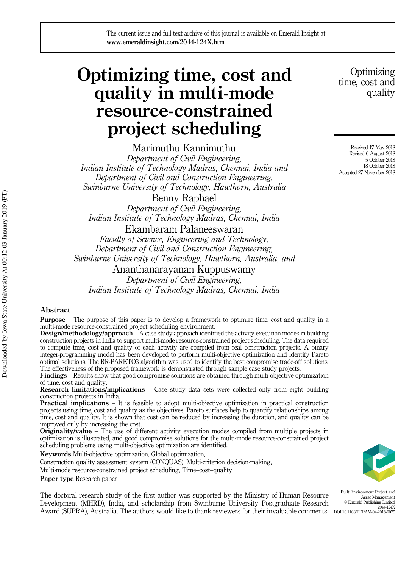## Optimizing time, cost and quality in multi-mode resource-constrained project scheduling

Marimuthu Kannimuthu Department of Civil Engineering, Indian Institute of Technology Madras, Chennai, India and Department of Civil and Construction Engineering, Swinburne University of Technology, Hawthorn, Australia Benny Raphael

Department of Civil Engineering, Indian Institute of Technology Madras, Chennai, India

Ekambaram Palaneeswaran Faculty of Science, Engineering and Technology, Department of Civil and Construction Engineering, Swinburne University of Technology, Hawthorn, Australia, and Ananthanarayanan Kuppuswamy Department of Civil Engineering, Indian Institute of Technology Madras, Chennai, India

#### Abstract

Purpose – The purpose of this paper is to develop a framework to optimize time, cost and quality in a multi-mode resource-constrained project scheduling environment.

Design/methodology/approach – A case study approach identified the activity execution modes in building construction projects in India to support multi-mode resource-constrained project scheduling. The data required to compute time, cost and quality of each activity are compiled from real construction projects. A binary integer-programming model has been developed to perform multi-objective optimization and identify Pareto optimal solutions. The RR-PARETO3 algorithm was used to identify the best compromise trade-off solutions. The effectiveness of the proposed framework is demonstrated through sample case study projects.

Findings – Results show that good compromise solutions are obtained through multi-objective optimization of time, cost and quality.

Research limitations/implications – Case study data sets were collected only from eight building construction projects in India.

Practical implications – It is feasible to adopt multi-objective optimization in practical construction projects using time, cost and quality as the objectives; Pareto surfaces help to quantify relationships among time, cost and quality. It is shown that cost can be reduced by increasing the duration, and quality can be improved only by increasing the cost.

**Originality/value** – The use of different activity execution modes compiled from multiple projects in optimization is illustrated, and good compromise solutions for the multi-mode resource-constrained project scheduling problems using multi-objective optimization are identified.

Keywords Multi-objective optimization, Global optimization,

Construction quality assessment system (CONQUAS), Multi-criterion decision-making,

Multi-mode resource-constrained project scheduling, Time–cost–quality

Paper type Research paper

Award (SUPRA), Australia. The authors would like to thank reviewers for their invaluable comments. DOI 10.1108/BEPAM-04-2018-0075 The doctoral research study of the first author was supported by the Ministry of Human Resource Development (MHRD), India, and scholarship from Swinburne University Postgraduate Research

**Optimizing** time, cost and quality

Received 17 May 2018 Revised 6 August 2018 5 October 2018 18 October 2018 Accepted 27 November 2018

Built Environment Project and Asset Management © Emerald Publishing Limited 2044-124X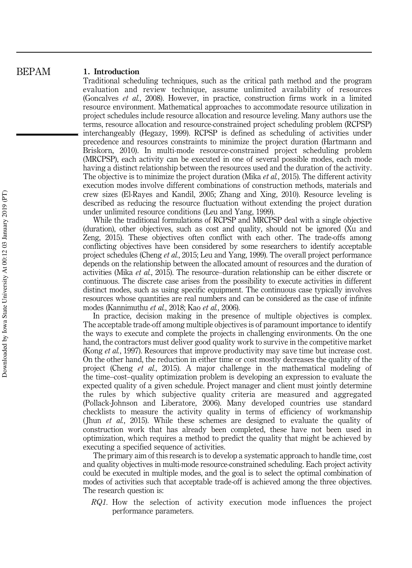#### 1. Introduction BEPAM

Traditional scheduling techniques, such as the critical path method and the program evaluation and review technique, assume unlimited availability of resources (Goncalves et al., 2008). However, in practice, construction firms work in a limited resource environment. Mathematical approaches to accommodate resource utilization in project schedules include resource allocation and resource leveling. Many authors use the terms, resource allocation and resource-constrained project scheduling problem (RCPSP) interchangeably (Hegazy, 1999). RCPSP is defined as scheduling of activities under precedence and resources constraints to minimize the project duration (Hartmann and Briskorn, 2010). In multi-mode resource-constrained project scheduling problem (MRCPSP), each activity can be executed in one of several possible modes, each mode having a distinct relationship between the resources used and the duration of the activity. The objective is to minimize the project duration (Mika et al., 2015). The different activity execution modes involve different combinations of construction methods, materials and crew sizes (El-Rayes and Kandil, 2005; Zhang and Xing, 2010). Resource leveling is described as reducing the resource fluctuation without extending the project duration under unlimited resource conditions (Leu and Yang, 1999).

While the traditional formulations of RCPSP and MRCPSP deal with a single objective (duration), other objectives, such as cost and quality, should not be ignored (Xu and Zeng, 2015). These objectives often conflict with each other. The trade-offs among conflicting objectives have been considered by some researchers to identify acceptable project schedules (Cheng et al., 2015; Leu and Yang, 1999). The overall project performance depends on the relationship between the allocated amount of resources and the duration of activities (Mika et al., 2015). The resource–duration relationship can be either discrete or continuous. The discrete case arises from the possibility to execute activities in different distinct modes, such as using specific equipment. The continuous case typically involves resources whose quantities are real numbers and can be considered as the case of infinite modes (Kannimuthu et al., 2018; Kao et al., 2006).

In practice, decision making in the presence of multiple objectives is complex. The acceptable trade-off among multiple objectives is of paramount importance to identify the ways to execute and complete the projects in challenging environments. On the one hand, the contractors must deliver good quality work to survive in the competitive market (Kong et al., 1997). Resources that improve productivity may save time but increase cost. On the other hand, the reduction in either time or cost mostly decreases the quality of the project (Cheng et al., 2015). A major challenge in the mathematical modeling of the time–cost–quality optimization problem is developing an expression to evaluate the expected quality of a given schedule. Project manager and client must jointly determine the rules by which subjective quality criteria are measured and aggregated (Pollack-Johnson and Liberatore, 2006). Many developed countries use standard checklists to measure the activity quality in terms of efficiency of workmanship (Jhun *et al.*, 2015). While these schemes are designed to evaluate the quality of construction work that has already been completed, these have not been used in optimization, which requires a method to predict the quality that might be achieved by executing a specified sequence of activities.

The primary aim of this research is to develop a systematic approach to handle time, cost and quality objectives in multi-mode resource-constrained scheduling. Each project activity could be executed in multiple modes, and the goal is to select the optimal combination of modes of activities such that acceptable trade-off is achieved among the three objectives. The research question is:

RQ1. How the selection of activity execution mode influences the project performance parameters.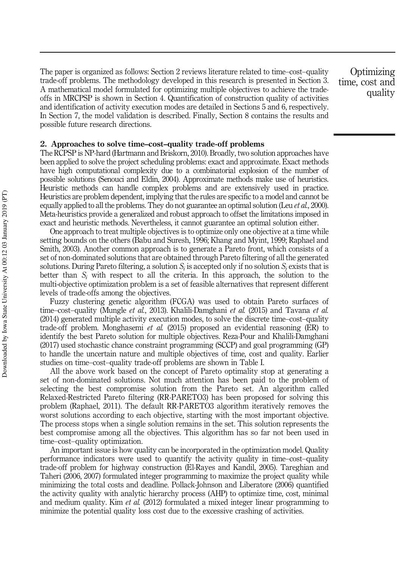The paper is organized as follows: Section 2 reviews literature related to time–cost–quality trade-off problems. The methodology developed in this research is presented in Section 3. A mathematical model formulated for optimizing multiple objectives to achieve the tradeoffs in MRCPSP is shown in Section 4. Quantification of construction quality of activities and identification of activity execution modes are detailed in Sections 5 and 6, respectively. In Section 7, the model validation is described. Finally, Section 8 contains the results and possible future research directions.

**Optimizing** time, cost and quality

#### 2. Approaches to solve time–cost–quality trade-off problems

The RCPSP is NP-hard (Hartmann and Briskorn, 2010). Broadly, two solution approaches have been applied to solve the project scheduling problems: exact and approximate. Exact methods have high computational complexity due to a combinatorial explosion of the number of possible solutions (Senouci and Eldin, 2004). Approximate methods make use of heuristics. Heuristic methods can handle complex problems and are extensively used in practice. Heuristics are problem dependent, implying that the rules are specific to a model and cannot be equally applied to all the problems. They do not guarantee an optimal solution (Leu *et al.*, 2000). Meta-heuristics provide a generalized and robust approach to offset the limitations imposed in exact and heuristic methods. Nevertheless, it cannot guarantee an optimal solution either.

One approach to treat multiple objectives is to optimize only one objective at a time while setting bounds on the others (Babu and Suresh, 1996; Khang and Myint, 1999; Raphael and Smith, 2003). Another common approach is to generate a Pareto front, which consists of a set of non-dominated solutions that are obtained through Pareto filtering of all the generated solutions. During Pareto filtering, a solution  $S_i$  is accepted only if no solution  $S_j$  exists that is better than  $S_i$  with respect to all the criteria. In this approach, the solution to the multi-objective optimization problem is a set of feasible alternatives that represent different levels of trade-offs among the objectives.

Fuzzy clustering genetic algorithm (FCGA) was used to obtain Pareto surfaces of time–cost–quality (Mungle *et al.*, 2013). Khalili-Damghani *et al.* (2015) and Tavana *et al.* (2014) generated multiple activity execution modes, to solve the discrete time–cost–quality trade-off problem. Monghasemi et al. (2015) proposed an evidential reasoning (ER) to identify the best Pareto solution for multiple objectives. Reza-Pour and Khalili-Damghani (2017) used stochastic chance constraint programming (SCCP) and goal programming (GP) to handle the uncertain nature and multiple objectives of time, cost and quality. Earlier studies on time–cost–quality trade-off problems are shown in Table I.

All the above work based on the concept of Pareto optimality stop at generating a set of non-dominated solutions. Not much attention has been paid to the problem of selecting the best compromise solution from the Pareto set. An algorithm called Relaxed-Restricted Pareto filtering (RR-PARETO3) has been proposed for solving this problem (Raphael, 2011). The default RR-PARETO3 algorithm iteratively removes the worst solutions according to each objective, starting with the most important objective. The process stops when a single solution remains in the set. This solution represents the best compromise among all the objectives. This algorithm has so far not been used in time–cost–quality optimization.

An important issue is how quality can be incorporated in the optimization model. Quality performance indicators were used to quantify the activity quality in time–cost–quality trade-off problem for highway construction (El-Rayes and Kandil, 2005). Tareghian and Taheri (2006, 2007) formulated integer programming to maximize the project quality while minimizing the total costs and deadline. Pollack-Johnson and Liberatore (2006) quantified the activity quality with analytic hierarchy process (AHP) to optimize time, cost, minimal and medium quality. Kim *et al.* (2012) formulated a mixed integer linear programming to minimize the potential quality loss cost due to the excessive crashing of activities.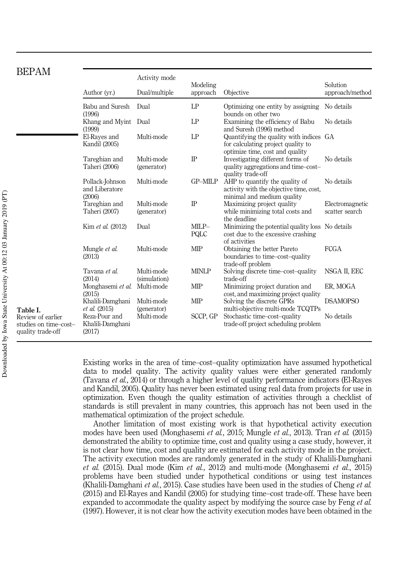### BEPAM

| BEPAM                                                           | Author (yr.)                                | Activity mode<br>Dual/multiple | Modeling<br>approach | Objective                                                                                                        | Solution<br>approach/method       |
|-----------------------------------------------------------------|---------------------------------------------|--------------------------------|----------------------|------------------------------------------------------------------------------------------------------------------|-----------------------------------|
|                                                                 | Babu and Suresh                             | Dual                           | LP                   | Optimizing one entity by assigning<br>bounds on other two                                                        | No details                        |
|                                                                 | (1996)<br>Khang and Myint Dual<br>(1999)    |                                | LP                   | Examining the efficiency of Babu<br>and Suresh (1996) method                                                     | No details                        |
|                                                                 | El-Rayes and<br>Kandil (2005)               | Multi-mode                     | LP                   | Quantifying the quality with indices GA<br>for calculating project quality to<br>optimize time, cost and quality |                                   |
|                                                                 | Tareghian and<br>Taheri (2006)              | Multi-mode<br>(generator)      | IP                   | Investigating different forms of<br>quality aggregations and time-cost-<br>quality trade-off                     | No details                        |
|                                                                 | Pollack-Johnson<br>and Liberatore<br>(2006) | Multi-mode                     | GP-MILP              | AHP to quantify the quality of<br>activity with the objective time, cost,<br>minimal and medium quality          | No details                        |
|                                                                 | Tareghian and<br>Taheri (2007)              | Multi-mode<br>(generator)      | <b>IP</b>            | Maximizing project quality<br>while minimizing total costs and<br>the deadline                                   | Electromagnetic<br>scatter search |
|                                                                 | Kim et al. (2012)                           | Dual                           | MILP-<br>PQLC        | Minimizing the potential quality loss No details<br>cost due to the excessive crashing<br>of activities          |                                   |
|                                                                 | Mungle et al.<br>(2013)                     | Multi-mode                     | <b>MIP</b>           | Obtaining the better Pareto<br>boundaries to time-cost-quality<br>trade-off problem                              | FCGA                              |
|                                                                 | Tavana et al.<br>(2014)                     | Multi-mode<br>(simulation)     | <b>MINLP</b>         | Solving discrete time-cost-quality<br>trade-off                                                                  | NSGA II, EEC                      |
|                                                                 | Monghasemi et al.<br>(2015)                 | Multi-mode                     | <b>MIP</b>           | Minimizing project duration and<br>cost, and maximizing project quality                                          | ER, MOGA                          |
| Table I.                                                        | Khalili-Damghani<br><i>et al.</i> (2015)    | Multi-mode<br>(generator)      | <b>MIP</b>           | Solving the discrete GPRs<br>multi-objective multi-mode TCQTPs                                                   | <b>DSAMOPSO</b>                   |
| Review of earlier<br>studies on time-cost-<br>quality trade-off | Reza-Pour and<br>Khalili-Damghani<br>(2017) | Multi-mode                     | SCCP, GP             | Stochastic time-cost-quality<br>trade-off project scheduling problem                                             | No details                        |

Existing works in the area of time–cost–quality optimization have assumed hypothetical data to model quality. The activity quality values were either generated randomly (Tavana et al., 2014) or through a higher level of quality performance indicators (El-Rayes and Kandil, 2005). Quality has never been estimated using real data from projects for use in optimization. Even though the quality estimation of activities through a checklist of standards is still prevalent in many countries, this approach has not been used in the mathematical optimization of the project schedule.

Another limitation of most existing work is that hypothetical activity execution modes have been used (Monghasemi et al., 2015; Mungle et al., 2013). Tran et al. (2015) demonstrated the ability to optimize time, cost and quality using a case study, however, it is not clear how time, cost and quality are estimated for each activity mode in the project. The activity execution modes are randomly generated in the study of Khalili-Damghani *et al.* (2015). Dual mode (Kim *et al.*, 2012) and multi-mode (Monghasemi *et al.*, 2015) problems have been studied under hypothetical conditions or using test instances (Khalili-Damghani et al., 2015). Case studies have been used in the studies of Cheng et al. (2015) and El-Rayes and Kandil (2005) for studying time–cost trade-off. These have been expanded to accommodate the quality aspect by modifying the source case by Feng et al. (1997). However, it is not clear how the activity execution modes have been obtained in the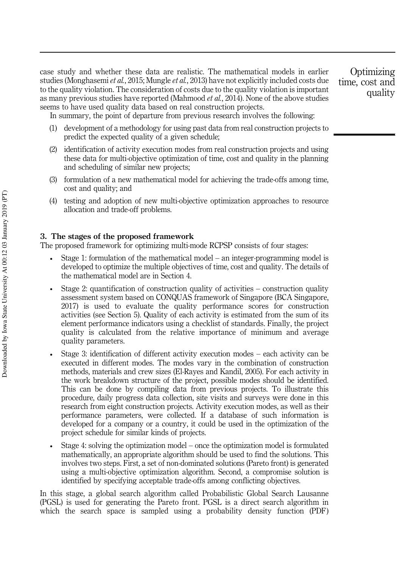case study and whether these data are realistic. The mathematical models in earlier studies (Monghasemi *et al.*, 2015; Mungle *et al.*, 2013) have not explicitly included costs due to the quality violation. The consideration of costs due to the quality violation is important as many previous studies have reported (Mahmood *et al.*, 2014). None of the above studies seems to have used quality data based on real construction projects.

**Optimizing** time, cost and quality

In summary, the point of departure from previous research involves the following:

- development of a methodology for using past data from real construction projects to predict the expected quality of a given schedule;
- (2) identification of activity execution modes from real construction projects and using these data for multi-objective optimization of time, cost and quality in the planning and scheduling of similar new projects;
- (3) formulation of a new mathematical model for achieving the trade-offs among time, cost and quality; and
- (4) testing and adoption of new multi-objective optimization approaches to resource allocation and trade-off problems.

#### 3. The stages of the proposed framework

The proposed framework for optimizing multi-mode RCPSP consists of four stages:

- Stage 1: formulation of the mathematical model an integer-programming model is developed to optimize the multiple objectives of time, cost and quality. The details of the mathematical model are in Section 4.
- Stage 2: quantification of construction quality of activities construction quality assessment system based on CONQUAS framework of Singapore (BCA Singapore, 2017) is used to evaluate the quality performance scores for construction activities (see Section 5). Quality of each activity is estimated from the sum of its element performance indicators using a checklist of standards. Finally, the project quality is calculated from the relative importance of minimum and average quality parameters.
- Stage 3: identification of different activity execution modes each activity can be executed in different modes. The modes vary in the combination of construction methods, materials and crew sizes (El-Rayes and Kandil, 2005). For each activity in the work breakdown structure of the project, possible modes should be identified. This can be done by compiling data from previous projects. To illustrate this procedure, daily progress data collection, site visits and surveys were done in this research from eight construction projects. Activity execution modes, as well as their performance parameters, were collected. If a database of such information is developed for a company or a country, it could be used in the optimization of the project schedule for similar kinds of projects.
- Stage 4: solving the optimization model once the optimization model is formulated mathematically, an appropriate algorithm should be used to find the solutions. This involves two steps. First, a set of non-dominated solutions (Pareto front) is generated using a multi-objective optimization algorithm. Second, a compromise solution is identified by specifying acceptable trade-offs among conflicting objectives.

In this stage, a global search algorithm called Probabilistic Global Search Lausanne (PGSL) is used for generating the Pareto front. PGSL is a direct search algorithm in which the search space is sampled using a probability density function (PDF)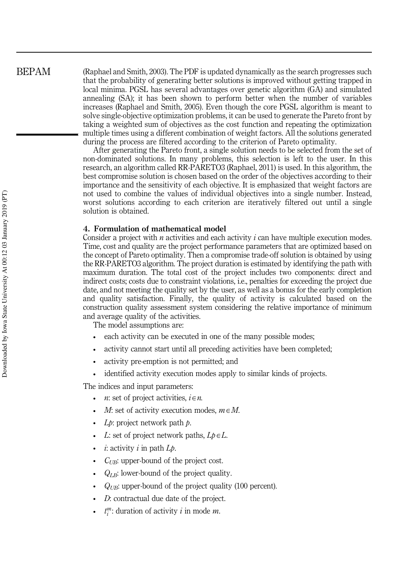(Raphael and Smith, 2003). The PDF is updated dynamically as the search progresses such that the probability of generating better solutions is improved without getting trapped in local minima. PGSL has several advantages over genetic algorithm (GA) and simulated annealing (SA); it has been shown to perform better when the number of variables increases (Raphael and Smith, 2005). Even though the core PGSL algorithm is meant to solve single-objective optimization problems, it can be used to generate the Pareto front by taking a weighted sum of objectives as the cost function and repeating the optimization multiple times using a different combination of weight factors. All the solutions generated during the process are filtered according to the criterion of Pareto optimality.

After generating the Pareto front, a single solution needs to be selected from the set of non-dominated solutions. In many problems, this selection is left to the user. In this research, an algorithm called RR-PARETO3 (Raphael, 2011) is used. In this algorithm, the best compromise solution is chosen based on the order of the objectives according to their importance and the sensitivity of each objective. It is emphasized that weight factors are not used to combine the values of individual objectives into a single number. Instead, worst solutions according to each criterion are iteratively filtered out until a single solution is obtained.

#### 4. Formulation of mathematical model

Consider a project with *n* activities and each activity  $i$  can have multiple execution modes. Time, cost and quality are the project performance parameters that are optimized based on the concept of Pareto optimality. Then a compromise trade-off solution is obtained by using the RR-PARETO3 algorithm. The project duration is estimated by identifying the path with maximum duration. The total cost of the project includes two components: direct and indirect costs; costs due to constraint violations, i.e., penalties for exceeding the project due date, and not meeting the quality set by the user, as well as a bonus for the early completion and quality satisfaction. Finally, the quality of activity is calculated based on the construction quality assessment system considering the relative importance of minimum and average quality of the activities.

The model assumptions are:

- each activity can be executed in one of the many possible modes;
- activity cannot start until all preceding activities have been completed;
- activity pre-emption is not permitted; and
- identified activity execution modes apply to similar kinds of projects.

The indices and input parameters:

- *n*: set of project activities,  $i \in n$ .
- M: set of activity execution modes,  $m \in M$ .
- *Lp*: project network path  $p$ .
- L: set of project network paths,  $Lp \in L$ .
- $\dot{i}$ : activity  $\dot{i}$  in path  $L\dot{p}$ .
- $C_{UB}$ : upper-bound of the project cost.
- $Q_{LB}$ : lower-bound of the project quality.
- $Q_{UB}$ : upper-bound of the project quality (100 percent).
- D: contractual due date of the project.
- $t_i^m$ : duration of activity *i* in mode *m*.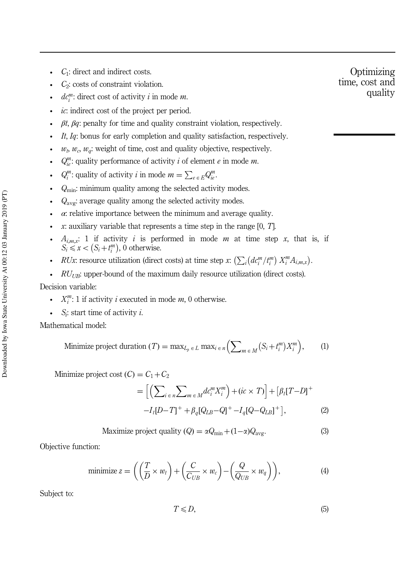- $C_1$ : direct and indirect costs.
- $C_2$ : costs of constraint violation.
- $dc_i^m$ : direct cost of activity *i* in mode *m*.
- $ic$ : indirect cost of the project per period.
- $\beta t$ ,  $\beta q$ : penalty for time and quality constraint violation, respectively.
- It, Iq: bonus for early completion and quality satisfaction, respectively.
- $w_t$ ,  $w_c$ ,  $w_q$ : weight of time, cost and quality objective, respectively.
- $Q_{ie}^{m}$ : quality performance of activity *i* of element *e* in mode *m*.
- $Q_i^m$ : quality of activity *i* in mode  $m = \sum_{e \in E} Q_{ie}^m$ .
- $Q_{\text{min}}$ : minimum quality among the selected activity modes.
- $Q_{\text{avg}}$  average quality among the selected activity modes.
- $\alpha$ : relative importance between the minimum and average quality.
- x: auxiliary variable that represents a time step in the range  $[0, T]$ .
- $A_{i,m,x}$ : 1 if activity i is performed in mode m at time step x, that is, if  $S_i \leq x < (S_i + t_i^m)$ , 0 otherwise.
- RUx: resource utilization (direct costs) at time step x:  $\left(\sum_i \left(dc_i^m/t_i^m\right)X_i^m A_{i,m,x}\right)$ .
- $RU_{UB}$ : upper-bound of the maximum daily resource utilization (direct costs).

Decision variable:

- $X_i^m$ : 1 if activity *i* executed in mode *m*, 0 otherwise.
- $S_i$ : start time of activity *i*.

Mathematical model:

Minimize project duration 
$$
(T) = \max_{L_p \in L} \max_{i \in n} \left( \sum_{m \in M} (S_i + t_i^m) X_i^m \right),
$$
 (1)

Minimize project cost  $(C) = C_1 + C_2$ 

$$
= \left[ \left( \sum_{i \in n} \sum_{m \in M} dc_i^m X_i^m \right) + (ic \times T) \right] + \left[ \beta_t [T - D]^{+} - I_t [D - T]^{+} + \beta_q [Q_{LB} - Q]^{+} - I_q [Q - Q_{LB}]^{+} \right],
$$
\n(2)

Maximize project quality 
$$
(Q) = \alpha Q_{\text{min}} + (1 - \alpha) Q_{\text{avg}}.
$$
 (3)

Objective function:

minimize 
$$
z = \left( \left( \frac{T}{D} \times w_t \right) + \left( \frac{C}{C_{UB}} \times w_c \right) - \left( \frac{Q}{Q_{UB}} \times w_q \right) \right),
$$
 (4)

Subject to:

$$
T \leq D,\tag{5}
$$

**Optimizing** time, cost and quality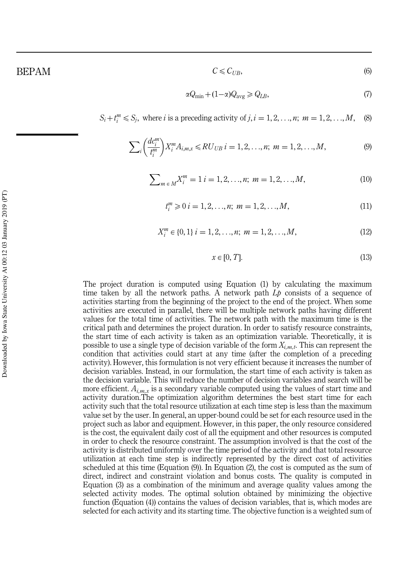BEPAM

$$
C \leqslant C_{UB},\tag{6}
$$

$$
\alpha Q_{\min} + (1 - \alpha) Q_{\text{avg}} \geq Q_{LB},\tag{7}
$$

 $S_i + t_i^m \leq S_j$ , where *i* is a preceding activity of  $j, i = 1, 2, \ldots, n; m = 1, 2, \ldots, M$ , (8)

$$
\sum_{i} \left( \frac{dc_i^m}{t_i^m} \right) X_i^m A_{i,m,x} \le R U_{UB} \, i = 1, 2, \dots, n; \, m = 1, 2, \dots, M, \tag{9}
$$

$$
\sum_{m \in M} X_i^m = 1 \quad i = 1, 2, \dots, n; \ m = 1, 2, \dots, M,
$$
\n(10)

$$
t_i^m \geq 0 \quad i = 1, 2, \dots, n; \ m = 1, 2, \dots, M,
$$
\n<sup>(11)</sup>

$$
X_i^m \in \{0, 1\} \ i = 1, 2, \dots, n; \ m = 1, 2, \dots, M,
$$
\n<sup>(12)</sup>

$$
x \in [0, T]. \tag{13}
$$

The project duration is computed using Equation (1) by calculating the maximum time taken by all the network paths. A network path  $Lp$  consists of a sequence of activities starting from the beginning of the project to the end of the project. When some activities are executed in parallel, there will be multiple network paths having different values for the total time of activities. The network path with the maximum time is the critical path and determines the project duration. In order to satisfy resource constraints, the start time of each activity is taken as an optimization variable. Theoretically, it is possible to use a single type of decision variable of the form  $X_{i,m,t}$ . This can represent the condition that activities could start at any time (after the completion of a preceding activity). However, this formulation is not very efficient because it increases the number of decision variables. Instead, in our formulation, the start time of each activity is taken as the decision variable. This will reduce the number of decision variables and search will be more efficient.  $A_{i,m,x}$  is a secondary variable computed using the values of start time and activity duration.The optimization algorithm determines the best start time for each activity such that the total resource utilization at each time step is less than the maximum value set by the user. In general, an upper-bound could be set for each resource used in the project such as labor and equipment. However, in this paper, the only resource considered is the cost, the equivalent daily cost of all the equipment and other resources is computed in order to check the resource constraint. The assumption involved is that the cost of the activity is distributed uniformly over the time period of the activity and that total resource utilization at each time step is indirectly represented by the direct cost of activities scheduled at this time (Equation (9)). In Equation (2), the cost is computed as the sum of direct, indirect and constraint violation and bonus costs. The quality is computed in Equation (3) as a combination of the minimum and average quality values among the selected activity modes. The optimal solution obtained by minimizing the objective function (Equation (4)) contains the values of decision variables, that is, which modes are selected for each activity and its starting time. The objective function is a weighted sum of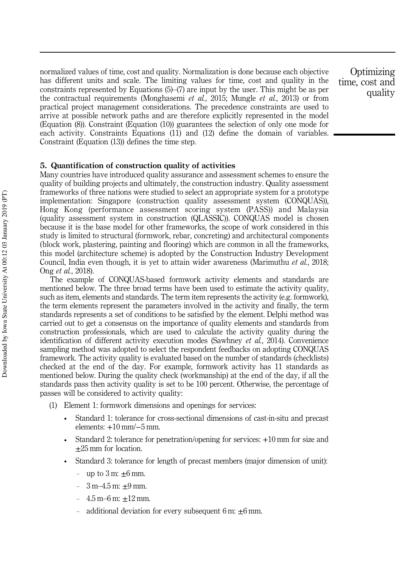normalized values of time, cost and quality. Normalization is done because each objective has different units and scale. The limiting values for time, cost and quality in the constraints represented by Equations (5)–(7) are input by the user. This might be as per the contractual requirements (Monghasemi *et al.*, 2015; Mungle *et al.*, 2013) or from practical project management considerations. The precedence constraints are used to arrive at possible network paths and are therefore explicitly represented in the model (Equation (8)). Constraint (Equation (10)) guarantees the selection of only one mode for each activity. Constraints Equations (11) and (12) define the domain of variables. Constraint (Equation (13)) defines the time step.

**Optimizing** time, cost and quality

#### 5. Quantification of construction quality of activities

Many countries have introduced quality assurance and assessment schemes to ensure the quality of building projects and ultimately, the construction industry. Quality assessment frameworks of three nations were studied to select an appropriate system for a prototype implementation: Singapore (construction quality assessment system (CONQUAS)), Hong Kong (performance assessment scoring system (PASS)) and Malaysia (quality assessment system in construction (QLASSIC)). CONQUAS model is chosen because it is the base model for other frameworks, the scope of work considered in this study is limited to structural (formwork, rebar, concreting) and architectural components (block work, plastering, painting and flooring) which are common in all the frameworks, this model (architecture scheme) is adopted by the Construction Industry Development Council, India even though, it is yet to attain wider awareness (Marimuthu *et al.*, 2018; Ong et al., 2018).

The example of CONQUAS-based formwork activity elements and standards are mentioned below. The three broad terms have been used to estimate the activity quality, such as item, elements and standards. The term item represents the activity (e.g. formwork), the term elements represent the parameters involved in the activity and finally, the term standards represents a set of conditions to be satisfied by the element. Delphi method was carried out to get a consensus on the importance of quality elements and standards from construction professionals, which are used to calculate the activity quality during the identification of different activity execution modes (Sawhney et al., 2014). Convenience sampling method was adopted to select the respondent feedbacks on adopting CONQUAS framework. The activity quality is evaluated based on the number of standards (checklists) checked at the end of the day. For example, formwork activity has 11 standards as mentioned below. During the quality check (workmanship) at the end of the day, if all the standards pass then activity quality is set to be 100 percent. Otherwise, the percentage of passes will be considered to activity quality:

- (1) Element 1: formwork dimensions and openings for services:
	- Standard 1: tolerance for cross-sectional dimensions of cast-in-situ and precast elements: +10 mm/−5 mm.
	- Standard 2: tolerance for penetration/opening for services: +10 mm for size and ±25 mm for location.
	- Standard 3: tolerance for length of precast members (major dimension of unit):
		- up to  $3 \text{ m}$ :  $+6 \text{ mm}$ .
		- $3 \text{ m} 4.5 \text{ m}$ :  $\pm 9 \text{ mm}$ .
		- $4.5$  m–6 m:  $\pm 12$  mm.
		- additional deviation for every subsequent 6 m:  $\pm$ 6 mm.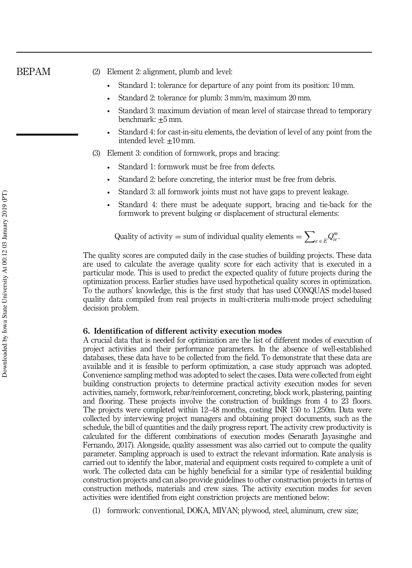#### BEPAM

- (2) Element 2: alignment, plumb and level:
	- Standard 1: tolerance for departure of any point from its position: 10 mm.
	- Standard 2: tolerance for plumb: 3 mm/m, maximum 20 mm.
	- Standard 3: maximum deviation of mean level of staircase thread to temporary benchmark: ±5 mm.
	- Standard 4: for cast-in-situ elements, the deviation of level of any point from the intended level:  $\pm 10$  mm.
- (3) Element 3: condition of formwork, props and bracing:
	- Standard 1: formwork must be free from defects.
	- Standard 2: before concreting, the interior must be free from debris.
	- Standard 3: all formwork joints must not have gaps to prevent leakage.
	- Standard 4: there must be adequate support, bracing and tie-back for the formwork to prevent bulging or displacement of structural elements:

Quality of activity = sum of individual quality elements =  $\sum_{e \in E} Q_{ie}^{m}$ .

The quality scores are computed daily in the case studies of building projects. These data are used to calculate the average quality score for each activity that is executed in a particular mode. This is used to predict the expected quality of future projects during the optimization process. Earlier studies have used hypothetical quality scores in optimization. To the authors' knowledge, this is the first study that has used CONQUAS model-based quality data compiled from real projects in multi-criteria multi-mode project scheduling decision problem.

#### 6. Identification of different activity execution modes

A crucial data that is needed for optimization are the list of different modes of execution of project activities and their performance parameters. In the absence of well-established databases, these data have to be collected from the field. To demonstrate that these data are available and it is feasible to perform optimization, a case study approach was adopted. Convenience sampling method was adopted to select the cases. Data were collected from eight building construction projects to determine practical activity execution modes for seven activities, namely, formwork, rebar/reinforcement, concreting, block work, plastering, painting and flooring. These projects involve the construction of buildings from 4 to 23 floors. The projects were completed within 12–48 months, costing INR 150 to 1,250m. Data were collected by interviewing project managers and obtaining project documents, such as the schedule, the bill of quantities and the daily progress report. The activity crew productivity is calculated for the different combinations of execution modes (Senarath Jayasinghe and Fernando, 2017). Alongside, quality assessment was also carried out to compute the quality parameter. Sampling approach is used to extract the relevant information. Rate analysis is carried out to identify the labor, material and equipment costs required to complete a unit of work. The collected data can be highly beneficial for a similar type of residential building construction projects and can also provide guidelines to other construction projects in terms of construction methods, materials and crew sizes. The activity execution modes for seven activities were identified from eight constriction projects are mentioned below:

(1) formwork: conventional, DOKA, MIVAN; plywood, steel, aluminum, crew size;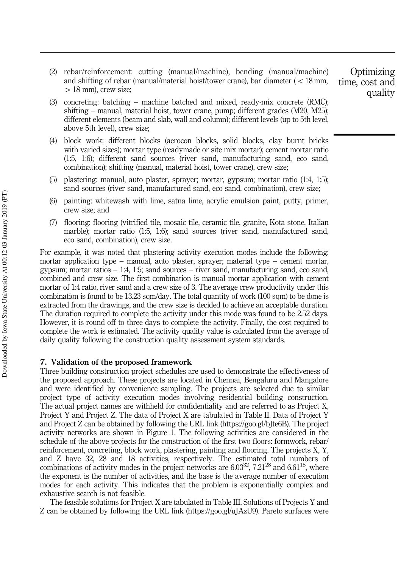- (2) rebar/reinforcement: cutting (manual/machine), bending (manual/machine) and shifting of rebar (manual/material hoist/tower crane), bar diameter ( $< 18$  mm,  $> 18$  mm), crew size;
- (3) concreting: batching machine batched and mixed, ready-mix concrete (RMC); shifting – manual, material hoist, tower crane, pump; different grades (M20, M25); different elements (beam and slab, wall and column); different levels (up to 5th level, above 5th level), crew size;
- (4) block work: different blocks (aerocon blocks, solid blocks, clay burnt bricks with varied sizes); mortar type (readymade or site mix mortar); cement mortar ratio (1:5, 1:6); different sand sources (river sand, manufacturing sand, eco sand, combination); shifting (manual, material hoist, tower crane), crew size;
- (5) plastering: manual, auto plaster, sprayer; mortar, gypsum; mortar ratio (1:4, 1:5); sand sources (river sand, manufactured sand, eco sand, combination), crew size;
- (6) painting: whitewash with lime, satna lime, acrylic emulsion paint, putty, primer, crew size; and
- (7) flooring: flooring (vitrified tile, mosaic tile, ceramic tile, granite, Kota stone, Italian marble); mortar ratio (1.5, 1.6); sand sources (river sand, manufactured sand, eco sand, combination), crew size.

For example, it was noted that plastering activity execution modes include the following: mortar application type – manual, auto plaster, sprayer; material type – cement mortar, gypsum; mortar ratios  $-1.4$ , 1:5; sand sources  $-$  river sand, manufacturing sand, eco sand, combined and crew size. The first combination is manual mortar application with cement mortar of 1:4 ratio, river sand and a crew size of 3. The average crew productivity under this combination is found to be 13.23 sqm/day. The total quantity of work (100 sqm) to be done is extracted from the drawings, and the crew size is decided to achieve an acceptable duration. The duration required to complete the activity under this mode was found to be 2.52 days. However, it is round off to three days to complete the activity. Finally, the cost required to complete the work is estimated. The activity quality value is calculated from the average of daily quality following the construction quality assessment system standards.

#### 7. Validation of the proposed framework

Three building construction project schedules are used to demonstrate the effectiveness of the proposed approach. These projects are located in Chennai, Bengaluru and Mangalore and were identified by convenience sampling. The projects are selected due to similar project type of activity execution modes involving residential building construction. The actual project names are withheld for confidentiality and are referred to as Project X, Project Y and Project Z. The data of Project X are tabulated in Table II. Data of Project Y and Project Z can be obtained by following the URL link (https://goo.gl/bJte6B). The project activity networks are shown in Figure 1. The following activities are considered in the schedule of the above projects for the construction of the first two floors: formwork, rebar/ reinforcement, concreting, block work, plastering, painting and flooring. The projects X, Y, and Z have 32, 28 and 18 activities, respectively. The estimated total numbers of combinations of activity modes in the project networks are  $6.03^{32}$ ,  $7.21^{28}$  and  $6.61^{18}$ , where the exponent is the number of activities, and the base is the average number of execution modes for each activity. This indicates that the problem is exponentially complex and exhaustive search is not feasible.

The feasible solutions for Project X are tabulated in Table III. Solutions of Projects Y and Z can be obtained by following the URL link (https://goo.gl/uJAzU9). Pareto surfaces were

**Optimizing** time, cost and quality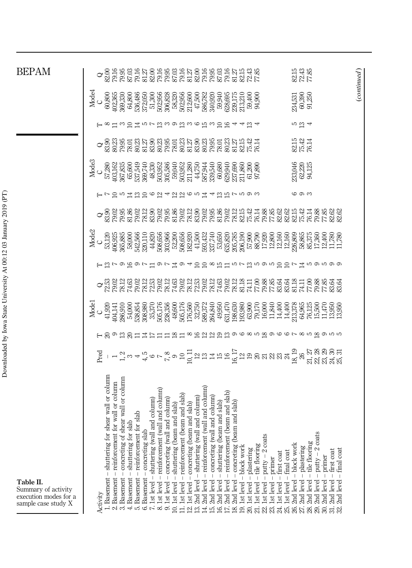| <b>BEPAM</b>                                                                     | 195832526363256383838<br>82.15<br>72.43<br>77.85<br>$^{Q}$ 82.00                                                                                                                                                                                                                                                                                                                                                                                                                                                                                                                                                                                                                                                                                                                                                                                                                                 |  |
|----------------------------------------------------------------------------------|--------------------------------------------------------------------------------------------------------------------------------------------------------------------------------------------------------------------------------------------------------------------------------------------------------------------------------------------------------------------------------------------------------------------------------------------------------------------------------------------------------------------------------------------------------------------------------------------------------------------------------------------------------------------------------------------------------------------------------------------------------------------------------------------------------------------------------------------------------------------------------------------------|--|
|                                                                                  | $_{\rm {continued}}$<br>Mode4<br>60,800<br>402,365<br>403,630<br>56,486<br>572,056<br>$51,300$<br>$502,956$<br>59,940<br>628,695<br>239,175<br>$\begin{array}{c} 306,828 \\ 58,320 \\ 502,956 \\ 502,600 \\ 212,600 \\ 47,500 \end{array}$<br>586,782<br>340,920<br>213,210<br>59,400<br>$234,531$<br>$60,390$<br>$91,250$<br>94,900                                                                                                                                                                                                                                                                                                                                                                                                                                                                                                                                                             |  |
|                                                                                  |                                                                                                                                                                                                                                                                                                                                                                                                                                                                                                                                                                                                                                                                                                                                                                                                                                                                                                  |  |
|                                                                                  | ∞ I ധ I ച സ L ഓ ധ യ ഓ ധ ര i ധ O ഓ<br>r<br>10 m<br>4<br>≌ ⊸                                                                                                                                                                                                                                                                                                                                                                                                                                                                                                                                                                                                                                                                                                                                                                                                                                       |  |
|                                                                                  | 80.27<br>80.27<br>80.38<br>82.15<br>75.42<br>76.14<br>$7802$<br>$8027$<br>$8127$<br>83.90<br>80.23<br>79.95<br>78.01<br>80.23<br>79.95<br>80.27<br>81.27<br>82.15<br>76.14<br>$\alpha_{\rm 33}^{\rm 50}$<br>80.23<br>79.95<br>78.01                                                                                                                                                                                                                                                                                                                                                                                                                                                                                                                                                                                                                                                              |  |
|                                                                                  | Mode3<br>233,046<br>57,280<br>403,162<br>$\begin{array}{c} 60,680 \\ 629,940 \\ 237,690 \\ 211,860 \end{array}$<br>62,220<br>94,125<br>$\begin{array}{c} 367,835 \\ 65,600 \\ 537,549 \\ 369,740 \end{array}$<br>$48,330$<br>503,952<br>61,200<br>305,586<br>59,040<br>503,952<br>211,280<br>587,944<br>339,540<br>44,750<br>97,890                                                                                                                                                                                                                                                                                                                                                                                                                                                                                                                                                              |  |
|                                                                                  | T7054B0624226544B57593<br>6<br>ာ က                                                                                                                                                                                                                                                                                                                                                                                                                                                                                                                                                                                                                                                                                                                                                                                                                                                               |  |
|                                                                                  | $79.02$<br>$79.95$<br>81.86<br>79.02<br>$78.12$<br>$75.42$<br>78.12<br>83.90<br>79.02<br>79.02<br>78.12<br>83.90<br>128828142<br>128828142<br>್ಯ ತಿನ್ನೆ ಕಿ.ಕೆ.ಕೆ.ಕೆ.<br>ಇವರ ಕಾ.ಕೆ.ಕೆ.ಕೆ.ಕೆ.ಕೆ.<br>79.86<br>81.86<br>76.14<br>79.88<br>72.82<br>72.93<br>72.93                                                                                                                                                                                                                                                                                                                                                                                                                                                                                                                                                                                                                                    |  |
|                                                                                  | Mode2<br>$\begin{array}{c} 406,925 \\ 365,885 \\ 58,000 \end{array}$<br>53,120<br>542,566<br>320,110<br>53,650<br>635,820<br>205,785<br>206,190<br>57,900<br>28,809<br>88,865<br>85,375<br>17,360<br>$4,820$<br>508,656<br>303,966<br>52,200<br>508,656<br>182,920<br>593,432<br>337,740<br>86,792<br>17,920<br>12,800<br>12,160<br>41,500<br>12,160<br>$\begin{array}{c} 12,400 \\ 11,780 \\ 11,780 \end{array}$                                                                                                                                                                                                                                                                                                                                                                                                                                                                                |  |
|                                                                                  | 1927年21日にはもっかりするようのけらりらい<br>$\overline{5}$<br>ゴ<br>மைவகை                                                                                                                                                                                                                                                                                                                                                                                                                                                                                                                                                                                                                                                                                                                                                                                                                                         |  |
|                                                                                  | 79.02<br>78.12<br>79.02<br>78.12<br>72.53<br>74.63<br>79.02<br>77.00<br>78.13<br>72.13<br>79.02<br>78.12<br>74.63<br>78.12<br>81.18<br>77.00<br>79.88<br>79.02<br>78.12<br>74.63<br>79.02<br>77.85<br>83.64<br>83.64<br>81.18<br>$\sigma_{\Sigma^3}^{\rm ES}$<br>74.11<br>77.85<br>83.84<br>83.84<br>74.11                                                                                                                                                                                                                                                                                                                                                                                                                                                                                                                                                                                       |  |
|                                                                                  | Model<br>$41,\!920$<br>589,372<br>264,840<br>$\begin{array}{c} 79,170 \\ 16,000 \\ 11,840 \\ 11,400 \end{array}$<br>64,965<br>$76,125$<br>15,500<br>286,910<br>54,000<br>$35,370$<br>505,176<br>505,176<br>176,560<br>32,750<br>$\begin{array}{c} 49{,}950 \\ 631{,}470 \\ 198{,}630 \\ 193{,}980 \end{array}$<br>63,900<br>$14,\!400$<br>113,378<br>238,356<br>48,600<br>$\begin{array}{c} 11,470 \\ 13,950 \\ 13,950 \end{array}$<br>538,854<br>308,980<br>404,141                                                                                                                                                                                                                                                                                                                                                                                                                             |  |
|                                                                                  | $\infty$ ro $\infty$<br>o ro ro                                                                                                                                                                                                                                                                                                                                                                                                                                                                                                                                                                                                                                                                                                                                                                                                                                                                  |  |
|                                                                                  | Pred                                                                                                                                                                                                                                                                                                                                                                                                                                                                                                                                                                                                                                                                                                                                                                                                                                                                                             |  |
|                                                                                  | shear wall or column<br>shear wall or column<br>for wall or column<br>(wall and column)<br>(wall and column)<br>(beam and slab)<br>beam and slab)<br>– shuttering (wall and column)<br>- concreting (wall and column)<br>I and column)<br>II and column)<br>- shuttering (beam and slab)<br>- concreting (beam and slab)<br>10. 1st level – shuttering (beam and slab)<br>12. 1st level – concreting (beam and slab)<br>for slab<br>slab<br>6. Basement - concreting slab<br>– reinforcement<br>$-$ shuttering for<br>5. Basement – reinforcement<br>2 coats<br>$putty - 2 cost$<br>$-$ shuttering for<br>7. 1st level – shuttering (wal<br>- concreting (wa.<br>- reinforcement<br>$-$ reinforcement<br>concreting of<br>$-$ reinforcement<br>11. 1st level – reinforcement<br>$-$ tile flooring<br>- block work<br>plastering<br>final coat<br>- final coat<br>first coa<br>primer<br>– primer |  |
| Table II.<br>Summary of activity<br>execution modes for a<br>sample case study X | 21. 1st level – tile flooring<br>22. 1st level – putty – 2 co<br>19. 1st level - block work<br>20. 1st level - plastering<br>1st level – first coat<br>$\mathbf{I}$<br>$\mathsf I$<br>$\mathbb T$<br>$\mathsf I$<br>$\mathbf{I}$<br>1. Basement<br><b>Basement</b><br><b>Basement</b><br>2. Basement<br>2nd level<br>14.2nd level<br>2nd level<br>2nd level<br>2nd level<br>2nd level<br>2nd level<br>2nd level<br>2nd level<br>2nd level<br>2nd level<br>level<br>2nd level<br>1st level<br>8. 1st level<br>9. 1st level<br>1st level<br>Activity<br>2nd<br>$\vec{r}$<br>$\overline{3}$<br>$\overline{\Gamma}$ .<br>$\sim$<br>$\overline{15}$ .<br>16.<br>$18.$<br>SS 38<br>27.<br>$\infty$<br>88.                                                                                                                                                                                              |  |

Downloaded by Iowa State University At 00:12 03 January 2019 (PT) Downloaded by Iowa State University At 00:12 03 January 2019 (PT)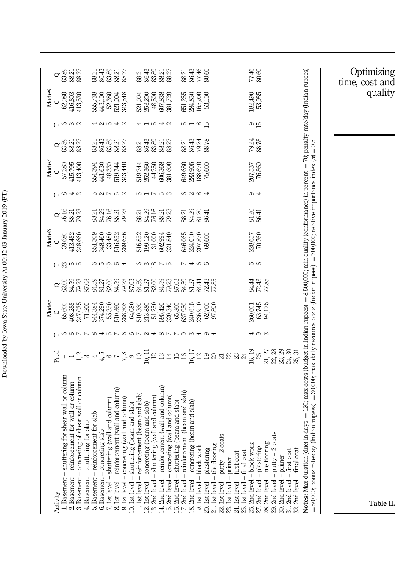| 83<br>83<br>83<br>88<br>83<br>$\mathcal{O}$                                                                                                                      | 88.21<br>86.43<br>83<br>83<br>83<br>88<br>83<br>8                                                                                                                                                                                                                       | $\begin{array}{c} 88.21 \\ 86.43 \\ 83.89 \end{array}$<br>88.27<br>88.27                                                                                                                                                                                                             | 88436<br>8848<br>885                                                                                                                                                                                                                                                                                                                                                                                                      | $77.46$<br>80.60                                                                                                                                                                                                                     | Optimizing<br>time, cost and                                                                                                                                                                                                                                                           |
|------------------------------------------------------------------------------------------------------------------------------------------------------------------|-------------------------------------------------------------------------------------------------------------------------------------------------------------------------------------------------------------------------------------------------------------------------|--------------------------------------------------------------------------------------------------------------------------------------------------------------------------------------------------------------------------------------------------------------------------------------|---------------------------------------------------------------------------------------------------------------------------------------------------------------------------------------------------------------------------------------------------------------------------------------------------------------------------------------------------------------------------------------------------------------------------|--------------------------------------------------------------------------------------------------------------------------------------------------------------------------------------------------------------------------------------|----------------------------------------------------------------------------------------------------------------------------------------------------------------------------------------------------------------------------------------------------------------------------------------|
| Mode <sub>8</sub><br>$\begin{array}{c} 62,080 \\ 416,803 \\ 413,530 \end{array}$                                                                                 | 555,738<br>443,100<br>343,548<br>$52,380$<br>$521,004$                                                                                                                                                                                                                  | 48,500<br>607,838<br>521,004<br>253,200<br>381,720                                                                                                                                                                                                                                   | 651,255<br>284,850<br>165,900<br>53,100                                                                                                                                                                                                                                                                                                                                                                                   | 182,490<br>53,985                                                                                                                                                                                                                    | quality                                                                                                                                                                                                                                                                                |
| $\circ$ $\circ$ $\circ$                                                                                                                                          | 42542                                                                                                                                                                                                                                                                   | 41542                                                                                                                                                                                                                                                                                | $m - \infty$                                                                                                                                                                                                                                                                                                                                                                                                              | $\frac{61}{6}$                                                                                                                                                                                                                       |                                                                                                                                                                                                                                                                                        |
| 83<br>83<br>83<br>83<br>83<br>$\mathcal{O}$                                                                                                                      | 88.21<br>86.43                                                                                                                                                                                                                                                          | 83.89<br>88.21<br>86.43<br>88.27                                                                                                                                                                                                                                                     | 79.24<br>88.78<br>88.21<br>86.43                                                                                                                                                                                                                                                                                                                                                                                          | $79.24$<br>88.78                                                                                                                                                                                                                     |                                                                                                                                                                                                                                                                                        |
| Mode7<br>57,280<br>415,795<br>413,400<br>$\circ$                                                                                                                 | 441,630<br>519,744<br>343,440<br>554,394<br>48,330                                                                                                                                                                                                                      | 44,750<br>606,368<br>519,744<br>252,360<br>381,600                                                                                                                                                                                                                                   | 283,905<br>649,680<br>188,670<br>75,600                                                                                                                                                                                                                                                                                                                                                                                   | 207,537<br>76,860                                                                                                                                                                                                                    | $= 200,000$ ; relative importance index $(\alpha) = 0.5$                                                                                                                                                                                                                               |
| 45<br>$\infty$                                                                                                                                                   | 52752                                                                                                                                                                                                                                                                   | $D - D - D$                                                                                                                                                                                                                                                                          | 6284                                                                                                                                                                                                                                                                                                                                                                                                                      | ೦ 4                                                                                                                                                                                                                                  |                                                                                                                                                                                                                                                                                        |
| 76.16<br>88.21<br>79.23<br>$\mathcal{O}$                                                                                                                         | 88.21<br>84.29<br>76.16<br>88.21<br>79.23                                                                                                                                                                                                                               | $76.16$<br>$79.23$<br>88.21<br>84.29                                                                                                                                                                                                                                                 | 8<br>8 3 8 4<br>8 3 8 8                                                                                                                                                                                                                                                                                                                                                                                                   | $81.20$<br>$86.41$                                                                                                                                                                                                                   |                                                                                                                                                                                                                                                                                        |
| <b>Mode6</b><br>$\begin{array}{c} 39,680 \\ 413,482 \\ 348,660 \end{array}$<br>$\circ$                                                                           | 551,309<br>348,460<br>$\begin{array}{c} 33,480 \\ 516,852 \\ 289,656 \end{array}$                                                                                                                                                                                       | 31,000<br>602,994<br>321,840<br>516,852<br>199,120                                                                                                                                                                                                                                   | 646,065<br>224,010<br>207,870<br>69,600                                                                                                                                                                                                                                                                                                                                                                                   | $228,657$<br>70,760                                                                                                                                                                                                                  |                                                                                                                                                                                                                                                                                        |
| $F \overset{c}{\sim} F$ is in                                                                                                                                    | 600964                                                                                                                                                                                                                                                                  | $\circ$ $\circ$ $\circ$ $\circ$                                                                                                                                                                                                                                                      | $\circ$<br>$\overline{r}$                                                                                                                                                                                                                                                                                                                                                                                                 | 00                                                                                                                                                                                                                                   |                                                                                                                                                                                                                                                                                        |
| 82.00<br>84.59<br>79.23<br>S                                                                                                                                     | 84.59<br>87.03<br>82.00<br>81.27                                                                                                                                                                                                                                        | 3333327<br>202332<br>82.00<br>84.59<br>79.23<br>87.03                                                                                                                                                                                                                                | 84.59<br>72.43<br>7.85<br>81.27<br>84.44                                                                                                                                                                                                                                                                                                                                                                                  | 84.43<br>72.43<br>77.85                                                                                                                                                                                                              |                                                                                                                                                                                                                                                                                        |
| Mode <sub>5</sub><br>65,600<br>408,288<br>347,035                                                                                                                | 71,200<br>55,350<br>510,360<br>288,306<br>374,290<br>544,384                                                                                                                                                                                                            | 320,340<br>$\frac{510,360}{213,880}$<br>64,080<br>595,420                                                                                                                                                                                                                            | 240,615<br>65,860<br>637,950<br>236,910<br>62,700<br>97,890                                                                                                                                                                                                                                                                                                                                                               | $260,601$<br>$63,745$<br>94,125                                                                                                                                                                                                      |                                                                                                                                                                                                                                                                                        |
| అ                                                                                                                                                                |                                                                                                                                                                                                                                                                         | 67784576672487793494                                                                                                                                                                                                                                                                 |                                                                                                                                                                                                                                                                                                                                                                                                                           | ာ က<br>4                                                                                                                                                                                                                             |                                                                                                                                                                                                                                                                                        |
| Pred                                                                                                                                                             |                                                                                                                                                                                                                                                                         |                                                                                                                                                                                                                                                                                      | $1 - \frac{2}{11} \omega_1 + \frac{1}{11} \omega_2 - \frac{1}{11} \omega_3 - \frac{1}{11} \omega_1 + \frac{1}{11} \omega_1 + \frac{1}{11} \omega_2 + \frac{1}{11} \omega_3 + \frac{1}{11} \omega_4 + \frac{1}{11} \omega_5 + \frac{1}{11} \omega_5 + \frac{1}{11} \omega_6 + \frac{1}{11} \omega_7 + \frac{1}{11} \omega_8 + \frac{1}{11} \omega_7 + \frac{1}{11} \omega_8 + \frac{1}{11} \omega_8 + \frac{1}{11} \omega$ | ដ<br>ដី<br>ដី អូ អូ អ្ន<br>$\frac{18,19}{26}$<br>25, 31                                                                                                                                                                              |                                                                                                                                                                                                                                                                                        |
| 1. Basement - shuttering for shear wall or column<br>Basement - concreting of shear wall or column<br>2. Basement – reinforcement for wall or column<br>Activity | (wall and column)<br>7. 1st level – shuttering (wall and column)<br>9. 1st level – concreting (wall and column)<br>5. Basement – reinforcement for slab<br>Basement - shuttering for slab<br>6. Basement - concreting slab<br>8. 1st level - reinforcement<br>$\vec{r}$ | 2nd level - reinforcement (wall and column)<br>11. 1st level – reinforcement (beam and slab)<br>13. 2nd level - shuttering (wall and column)<br>2nd level - concreting (wall and column)<br>12. 1st level - concreting (beam and slab)<br>10. 1st level – shuttering (beam and slab) | $17.$ 2nd level – reinforcement (beam and slab) $18.$ 2nd level – concreting (beam and slab) $\,$<br>2nd level – shuttering (beam and slab)<br>w<br>1st level $-$ putty $-$ 2 coar<br>21. 1st level - tile flooring<br>19. 1st level - block work<br>20. 1st level - plastering<br>24. 1st level – first coat<br>23. 1st level – primer                                                                                   | 2nd level $-$ putty $-$ 2 coats<br>2nd level – tile flooring<br>2nd level - block work<br>2nd level - plastering<br>32. 2nd level – final coat<br>31. 2nd level – first coat<br>25. 1st level - final coat<br>30. 2nd level – primer | Notes: Max duration (due) in days = 120; max $\cos$ ts (budget in Indian rupees) = 8,500,000; min quality (conformance) in percent = 70; penalty rate/day (Indian rupees)<br>= 30,000; max daily resource costs (Indian rupees)<br>50,000; bonus rate/day (Indian rupees)<br>Table II. |
|                                                                                                                                                                  |                                                                                                                                                                                                                                                                         | $\frac{4}{14}$<br>$\overline{15}$ .                                                                                                                                                                                                                                                  | $\mathbb{S}^1$<br>16.                                                                                                                                                                                                                                                                                                                                                                                                     | æ.<br>27.<br>29.<br>Ø,                                                                                                                                                                                                               |                                                                                                                                                                                                                                                                                        |

Table II.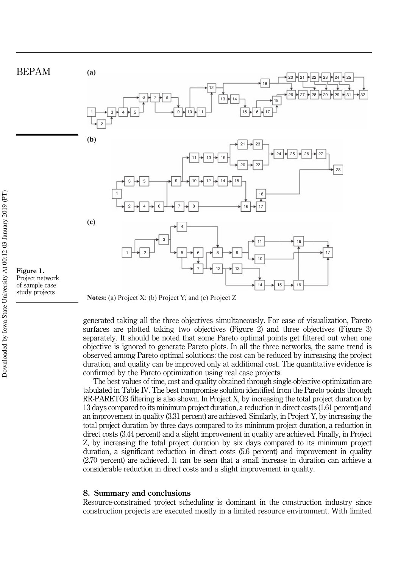

Figure 1. Project network of sample case study projects

**Notes:** (a) Project X; (b) Project Y; and (c) Project Z

generated taking all the three objectives simultaneously. For ease of visualization, Pareto surfaces are plotted taking two objectives (Figure 2) and three objectives (Figure 3) separately. It should be noted that some Pareto optimal points get filtered out when one objective is ignored to generate Pareto plots. In all the three networks, the same trend is observed among Pareto optimal solutions: the cost can be reduced by increasing the project duration, and quality can be improved only at additional cost. The quantitative evidence is confirmed by the Pareto optimization using real case projects.

 $14 \rightarrow 15 \rightarrow 16$ 

The best values of time, cost and quality obtained through single-objective optimization are tabulated in Table IV. The best compromise solution identified from the Pareto points through RR-PARETO3 filtering is also shown. In Project X, by increasing the total project duration by 13 days compared to its minimum project duration, a reduction in direct costs (1.61 percent) and an improvement in quality (3.31 percent) are achieved. Similarly, in Project Y, by increasing the total project duration by three days compared to its minimum project duration, a reduction in direct costs (3.44 percent) and a slight improvement in quality are achieved. Finally, in Project Z, by increasing the total project duration by six days compared to its minimum project duration, a significant reduction in direct costs (5.6 percent) and improvement in quality (2.70 percent) are achieved. It can be seen that a small increase in duration can achieve a considerable reduction in direct costs and a slight improvement in quality.

#### 8. Summary and conclusions

Resource-constrained project scheduling is dominant in the construction industry since construction projects are executed mostly in a limited resource environment. With limited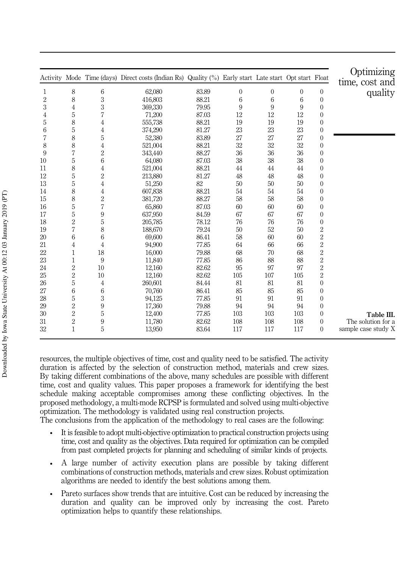|                |                |                | Activity Mode Time (days) Direct costs (Indian Rs) Quality (%) Early start Late start Opt start Float |       |                  |                |              |                  | Optimizing<br>time, cost and |
|----------------|----------------|----------------|-------------------------------------------------------------------------------------------------------|-------|------------------|----------------|--------------|------------------|------------------------------|
| 1              | 8              | 6              | 62.080                                                                                                | 83.89 | $\boldsymbol{0}$ | $\overline{0}$ | $\mathbf{0}$ | $\mathbf{0}$     | quality                      |
| $\overline{2}$ | 8              | 3              | 416,803                                                                                               | 88.21 | 6                | 6              | 6            | $\mathbf{0}$     |                              |
| 3              | 4              | 3              | 369,330                                                                                               | 79.95 | 9                | 9              | 9            | $\mathbf{0}$     |                              |
| 4              | 5              | 7              | 71,200                                                                                                | 87.03 | 12               | 12             | 12           | $\mathbf{0}$     |                              |
| 5              | 8              | 4              | 555,738                                                                                               | 88.21 | 19               | 19             | 19           | $\mathbf{0}$     |                              |
| 6              | 5              | 4              | 374,290                                                                                               | 81.27 | 23               | 23             | 23           | $\mathbf{0}$     |                              |
| 7              | 8              | 5              | 52,380                                                                                                | 83.89 | 27               | 27             | 27           | $\theta$         |                              |
| 8              | 8              | 4              | 521,004                                                                                               | 88.21 | 32               | 32             | 32           | $\mathbf{0}$     |                              |
| 9              | 7              | $\overline{2}$ | 343,440                                                                                               | 88.27 | 36               | 36             | 36           | $\mathbf{0}$     |                              |
| 10             | 5              | 6              | 64,080                                                                                                | 87.03 | 38               | 38             | 38           | $\mathbf{0}$     |                              |
| 11             | 8              | 4              | 521,004                                                                                               | 88.21 | 44               | 44             | 44           | $\mathbf{0}$     |                              |
| 12             | 5              | $\overline{2}$ | 213,880                                                                                               | 81.27 | 48               | 48             | 48           | $\theta$         |                              |
| 13             | 5              | 4              | 51,250                                                                                                | 82    | 50               | 50             | 50           | $\mathbf{0}$     |                              |
| 14             | 8              | 4              | 607,838                                                                                               | 88.21 | 54               | 54             | 54           | $\mathbf{0}$     |                              |
| 15             | 8              | $\overline{2}$ | 381,720                                                                                               | 88.27 | 58               | 58             | 58           | $\mathbf{0}$     |                              |
| 16             | 5              | 7              | 65,860                                                                                                | 87.03 | 60               | 60             | 60           | $\overline{0}$   |                              |
| 17             | 5              | 9              | 637,950                                                                                               | 84.59 | 67               | 67             | 67           | $\overline{0}$   |                              |
| 18             | $\overline{2}$ | 5              | 205,785                                                                                               | 78.12 | 76               | 76             | 76           | $\mathbf{0}$     |                              |
| 19             | 7              | 8              | 188,670                                                                                               | 79.24 | 50               | 52             | 50           | $\overline{2}$   |                              |
| 20             | 6              | 6              | 69,600                                                                                                | 86.41 | 58               | 60             | 60           | $\overline{2}$   |                              |
| 21             | 4              | 4              | 94,900                                                                                                | 77.85 | 64               | 66             | 66           | $\overline{c}$   |                              |
| 22             | $\mathbf{1}$   | 18             | 16,000                                                                                                | 79.88 | 68               | 70             | 68           | $\overline{c}$   |                              |
| 23             | $\mathbf{1}$   | 9              | 11,840                                                                                                | 77.85 | 86               | 88             | 88           | $\overline{2}$   |                              |
| 24             | 2              | 10             | 12,160                                                                                                | 82.62 | 95               | 97             | 97           | $\overline{2}$   |                              |
| 25             | $\overline{2}$ | 10             | 12,160                                                                                                | 82.62 | 105              | 107            | 105          | $\overline{2}$   |                              |
| 26             | 5              | 4              | 260,601                                                                                               | 84.44 | 81               | 81             | 81           | $\boldsymbol{0}$ |                              |
| 27             | 6              | 6              | 70,760                                                                                                | 86.41 | 85               | 85             | 85           | $\mathbf{0}$     |                              |
| 28             | 5              | 3              | 94,125                                                                                                | 77.85 | 91               | 91             | 91           | $\boldsymbol{0}$ |                              |
| 29             | $\overline{2}$ | 9              | 17,360                                                                                                | 79.88 | 94               | 94             | 94           | $\mathbf{0}$     |                              |
| 30             | $\overline{2}$ | 5              | 12,400                                                                                                | 77.85 | 103              | 103            | 103          | $\theta$         | Table III.                   |
| 31             | $\overline{2}$ | 9              | 11,780                                                                                                | 82.62 | 108              | 108            | 108          | $\mathbf{0}$     | The solution for a           |
| 32             | $\mathbf{1}$   | 5              | 13,950                                                                                                | 83.64 | 117              | 117            | 117          | $\Omega$         | sample case study X          |

resources, the multiple objectives of time, cost and quality need to be satisfied. The activity duration is affected by the selection of construction method, materials and crew sizes. By taking different combinations of the above, many schedules are possible with different time, cost and quality values. This paper proposes a framework for identifying the best schedule making acceptable compromises among these conflicting objectives. In the proposed methodology, a multi-mode RCPSP is formulated and solved using multi-objective optimization. The methodology is validated using real construction projects.

The conclusions from the application of the methodology to real cases are the following:

- It is feasible to adopt multi-objective optimization to practical construction projects using time, cost and quality as the objectives. Data required for optimization can be compiled from past completed projects for planning and scheduling of similar kinds of projects.
- A large number of activity execution plans are possible by taking different combinations of construction methods, materials and crew sizes. Robust optimization algorithms are needed to identify the best solutions among them.
- Pareto surfaces show trends that are intuitive. Cost can be reduced by increasing the duration and quality can be improved only by increasing the cost. Pareto optimization helps to quantify these relationships.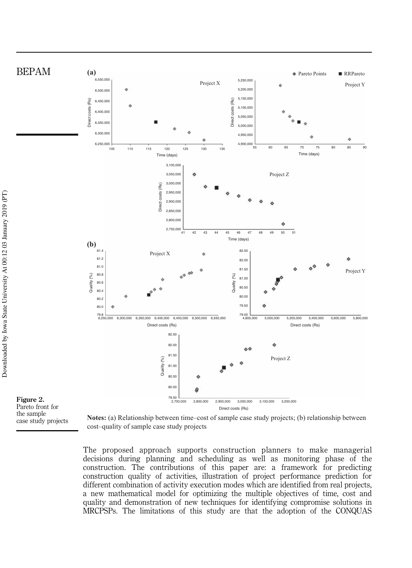

Pareto front for the sample case study projects

**Notes:** (a) Relationship between time–cost of sample case study projects; (b) relationship between cost–quality of sample case study projects

The proposed approach supports construction planners to make managerial decisions during planning and scheduling as well as monitoring phase of the construction. The contributions of this paper are: a framework for predicting construction quality of activities, illustration of project performance prediction for different combination of activity execution modes which are identified from real projects, a new mathematical model for optimizing the multiple objectives of time, cost and quality and demonstration of new techniques for identifying compromise solutions in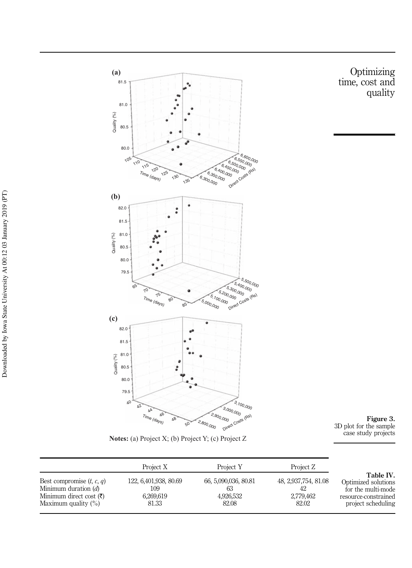

**Optimizing** time, cost and quality

**Notes:** (a) Project X; (b) Project Y; (c) Project Z

|                                                                                                       | Project X                                          | Project Y                                        | Project Z                                  |                                                                                                      |
|-------------------------------------------------------------------------------------------------------|----------------------------------------------------|--------------------------------------------------|--------------------------------------------|------------------------------------------------------------------------------------------------------|
| Best compromise $(t, c, q)$<br>Minimum duration (d)<br>Minimum direct cost (₹)<br>Maximum quality (%) | 122, 6,401,938, 80.69<br>109<br>6,269,619<br>81.33 | 66, 5,090,036, 80.81<br>63<br>4,926,532<br>82.08 | 48, 2,937,754, 81.08<br>2,779,462<br>82.02 | Table IV.<br>Optimized solutions<br>for the multi-mode<br>resource-constrained<br>project scheduling |

 $\overline{a}$ 

Figure 3. 3D plot for the sample case study projects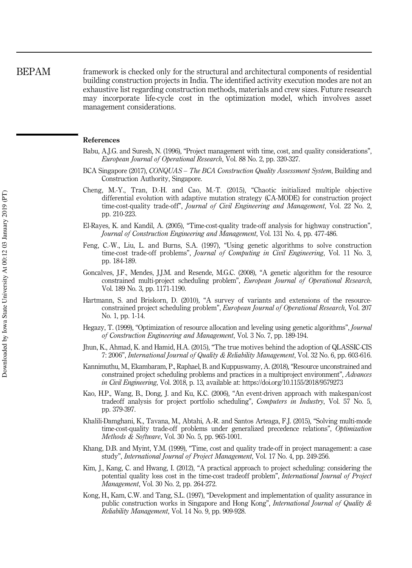framework is checked only for the structural and architectural components of residential building construction projects in India. The identified activity execution modes are not an exhaustive list regarding construction methods, materials and crew sizes. Future research may incorporate life-cycle cost in the optimization model, which involves asset management considerations. BEPAM

#### References

- Babu, A.J.G. and Suresh, N. (1996), "Project management with time, cost, and quality considerations", European Journal of Operational Research, Vol. 88 No. 2, pp. 320-327.
- BCA Singapore (2017), CONQUAS The BCA Construction Quality Assessment System, Building and Construction Authority, Singapore.
- Cheng, M.-Y., Tran, D.-H. and Cao, M.-T. (2015), "Chaotic initialized multiple objective differential evolution with adaptive mutation strategy (CA-MODE) for construction project time-cost-quality trade-off", Journal of Civil Engineering and Management, Vol. 22 No. 2, pp. 210-223.
- El-Rayes, K. and Kandil, A. (2005), "Time-cost-quality trade-off analysis for highway construction", Journal of Construction Engineering and Management, Vol. 131 No. 4, pp. 477-486.
- Feng, C.-W., Liu, L. and Burns, S.A. (1997), "Using genetic algorithms to solve construction time-cost trade-off problems", Journal of Computing in Civil Engineering, Vol. 11 No. 3, pp. 184-189.
- Goncalves, J.F., Mendes, J.J.M. and Resende, M.G.C. (2008), "A genetic algorithm for the resource constrained multi-project scheduling problem", European Journal of Operational Research, Vol. 189 No. 3, pp. 1171-1190.
- Hartmann, S. and Briskorn, D. (2010), "A survey of variants and extensions of the resourceconstrained project scheduling problem", European Journal of Operational Research, Vol. 207 No. 1, pp. 1-14.
- Hegazy, T. (1999), "Optimization of resource allocation and leveling using genetic algorithms", Journal of Construction Engineering and Management, Vol. 3 No. 7, pp. 189-194.
- Jhun, K., Ahmad, K. and Hamid, H.A. (2015), "The true motives behind the adoption of QLASSIC-CIS 7: 2006", International Journal of Quality & Reliability Management, Vol. 32 No. 6, pp. 603-616.
- Kannimuthu, M., Ekambaram, P., Raphael, B. and Kuppuswamy, A. (2018), "Resource unconstrained and constrained project scheduling problems and practices in a multiproject environment", Advances in Civil Engineering, Vol. 2018, p. 13, available at: https://doi.org/10.1155/2018/9579273
- Kao, H.P., Wang, B., Dong, J. and Ku, K.C. (2006), "An event-driven approach with makespan/cost tradeoff analysis for project portfolio scheduling", Computers in Industry, Vol. 57 No. 5, pp. 379-397.
- Khalili-Damghani, K., Tavana, M., Abtahi, A.-R. and Santos Arteaga, F.J. (2015), "Solving multi-mode time-cost-quality trade-off problems under generalized precedence relations", Optimization Methods & Software, Vol. 30 No. 5, pp. 965-1001.
- Khang, D.B. and Myint, Y.M. (1999), "Time, cost and quality trade-off in project management: a case study", International Journal of Project Management, Vol. 17 No. 4, pp. 249-256.
- Kim, J., Kang, C. and Hwang, I. (2012), "A practical approach to project scheduling: considering the potential quality loss cost in the time-cost tradeoff problem", International Journal of Project Management, Vol. 30 No. 2, pp. 264-272.
- Kong, H., Kam, C.W. and Tang, S.L. (1997), "Development and implementation of quality assurance in public construction works in Singapore and Hong Kong", *International Journal of Quality &* Reliability Management, Vol. 14 No. 9, pp. 909-928.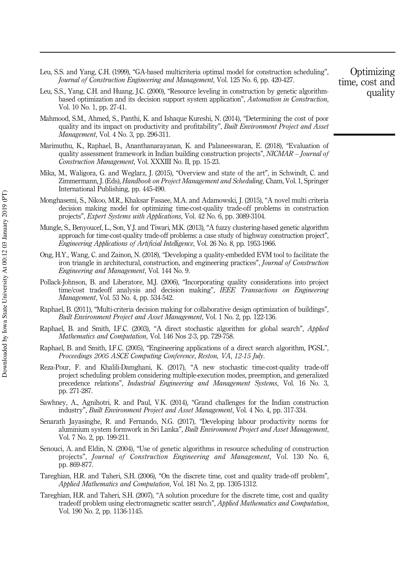- Leu, S.S. and Yang, C.H. (1999), "GA-based multicriteria optimal model for construction scheduling", Journal of Construction Engineering and Management, Vol. 125 No. 6, pp. 420-427.
- Leu, S.S., Yang, C.H. and Huang, J.C. (2000), "Resource leveling in construction by genetic algorithmbased optimization and its decision support system application", Automation in Construction, Vol. 10 No. 1, pp. 27-41.
- Mahmood, S.M., Ahmed, S., Panthi, K. and Ishaque Kureshi, N. (2014), "Determining the cost of poor quality and its impact on productivity and profitability", Built Environment Project and Asset Management, Vol. 4 No. 3, pp. 296-311.
- Marimuthu, K., Raphael, B., Ananthanarayanan, K. and Palaneeswaran, E. (2018), "Evaluation of quality assessment framework in Indian building construction projects", NICMAR – Journal of Construction Management, Vol. XXXIII No. II, pp. 15-23.
- Mika, M., Waligora, G. and Weglarz, J. (2015), "Overview and state of the art", in Schwindt, C. and Zimmermann, J. (Eds), *Handbook on Project Management and Scheduling*, Cham, Vol. 1, Springer International Publishing, pp. 445-490.
- Monghasemi, S., Nikoo, M.R., Khaksar Fasaee, M.A. and Adamowski, J. (2015), "A novel multi criteria decision making model for optimizing time-cost-quality trade-off problems in construction projects", Expert Systems with Applications, Vol. 42 No. 6, pp. 3089-3104.
- Mungle, S., Benyoucef, L., Son, Y.J. and Tiwari, M.K. (2013), "A fuzzy clustering-based genetic algorithm approach for time-cost-quality trade-off problems: a case study of highway construction project", Engineering Applications of Artificial Intelligence, Vol. 26 No. 8, pp. 1953-1966.
- Ong, H.Y., Wang, C. and Zainon, N. (2018), "Developing a quality-embedded EVM tool to facilitate the iron triangle in architectural, construction, and engineering practices", Journal of Construction Engineering and Management, Vol. 144 No. 9.
- Pollack-Johnson, B. and Liberatore, M.J. (2006), "Incorporating quality considerations into project time/cost tradeoff analysis and decision making", IEEE Transactions on Engineering Management, Vol. 53 No. 4, pp. 534-542.
- Raphael, B. (2011), "Multi-criteria decision making for collaborative design optimization of buildings", Built Environment Project and Asset Management, Vol. 1 No. 2, pp. 122-136.
- Raphael, B. and Smith, I.F.C. (2003), "A direct stochastic algorithm for global search", Applied Mathematics and Computation, Vol. 146 Nos 2-3, pp. 729-758.
- Raphael, B. and Smith, I.F.C. (2005), "Engineering applications of a direct search algorithm, PGSL", Proceedings 2005 ASCE Computing Conference, Reston, VA, 12-15 July.
- Reza-Pour, F. and Khalili-Damghani, K. (2017), "A new stochastic time-cost-quality trade-off project scheduling problem considering multiple-execution modes, preemption, and generalized precedence relations", Industrial Engineering and Management Systems, Vol. 16 No. 3, pp. 271-287.
- Sawhney, A., Agnihotri, R. and Paul, V.K. (2014), "Grand challenges for the Indian construction industry", Built Environment Project and Asset Management, Vol. 4 No. 4, pp. 317-334.
- Senarath Jayasinghe, R. and Fernando, N.G. (2017), "Developing labour productivity norms for aluminium system formwork in Sri Lanka", Built Environment Project and Asset Management, Vol. 7 No. 2, pp. 199-211.
- Senouci, A. and Eldin, N. (2004), "Use of genetic algorithms in resource scheduling of construction projects", Journal of Construction Engineering and Management, Vol. 130 No. 6, pp. 869-877.
- Tareghian, H.R. and Taheri, S.H. (2006), "On the discrete time, cost and quality trade-off problem", Applied Mathematics and Computation, Vol. 181 No. 2, pp. 1305-1312.
- Tareghian, H.R. and Taheri, S.H. (2007), "A solution procedure for the discrete time, cost and quality tradeoff problem using electromagnetic scatter search", Applied Mathematics and Computation, Vol. 190 No. 2, pp. 1136-1145.

**Optimizing** time, cost and quality